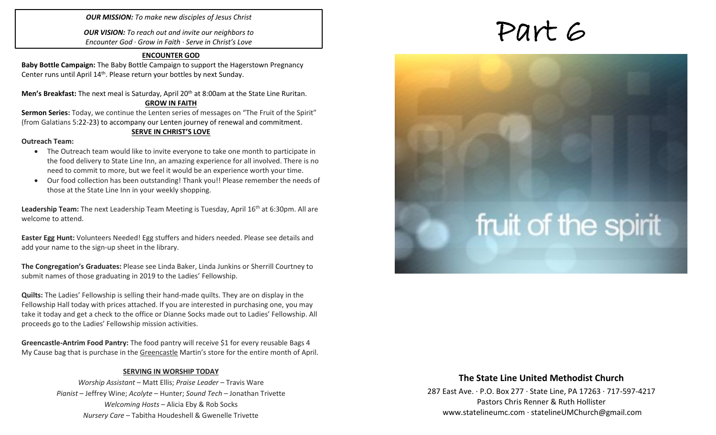*OUR MISSION: To make new disciples of Jesus Christ*

*OUR VISION: To reach out and invite our neighbors to Encounter God · Grow in Faith · Serve in Christ's Love*

### **ENCOUNTER GOD**

**Baby Bottle Campaign:** The Baby Bottle Campaign to support the Hagerstown Pregnancy Center runs until April 14<sup>th</sup>. Please return your bottles by next Sunday.

**Men's Breakfast:** The next meal is Saturday, April 20th at 8:00am at the State Line Ruritan.

### **GROW IN FAITH**

**Sermon Series:** Today, we continue the Lenten series of messages on "The Fruit of the Spirit" (from Galatians 5:22-23) to accompany our Lenten journey of renewal and commitment.

### **SERVE IN CHRIST'S LOVE**

### **Outreach Team:**

- The Outreach team would like to invite everyone to take one month to participate in the food delivery to State Line Inn, an amazing experience for all involved. There is no need to commit to more, but we feel it would be an experience worth your time.
- Our food collection has been outstanding! Thank you!! Please remember the needs of those at the State Line Inn in your weekly shopping.

Leadership Team: The next Leadership Team Meeting is Tuesday, April 16<sup>th</sup> at 6:30pm. All are welcome to attend.

**Easter Egg Hunt:** Volunteers Needed! Egg stuffers and hiders needed. Please see details and add your name to the sign-up sheet in the library.

**The Congregation's Graduates:** Please see Linda Baker, Linda Junkins or Sherrill Courtney to submit names of those graduating in 2019 to the Ladies' Fellowship.

**Quilts:** The Ladies' Fellowship is selling their hand-made quilts. They are on display in the Fellowship Hall today with prices attached. If you are interested in purchasing one, you may take it today and get a check to the office or Dianne Socks made out to Ladies' Fellowship. All proceeds go to the Ladies' Fellowship mission activities.

**Greencastle-Antrim Food Pantry:** The food pantry will receive \$1 for every reusable Bags 4 My Cause bag that is purchase in the Greencastle Martin's store for the entire month of April.

### **SERVING IN WORSHIP TODAY**

*Worship Assistant* – Matt Ellis; *Praise Leader* – Travis Ware *Pianist* – Jeffrey Wine; *Acolyte* – Hunter; *Sound Tech* – Jonathan Trivette *Welcoming Hosts* – Alicia Eby & Rob Socks *Nursery Care* – Tabitha Houdeshell & Gwenelle Trivette

# Part 6

# fruit of the spirit

### **The State Line United Methodist Church**

287 East Ave. · P.O. Box 277 · State Line, PA 17263 · 717-597-4217 Pastors Chris Renner & Ruth Hollister [www.statelineumc.com](http://www.statelineumc.com/) · statelineUMChurch@gmail.com